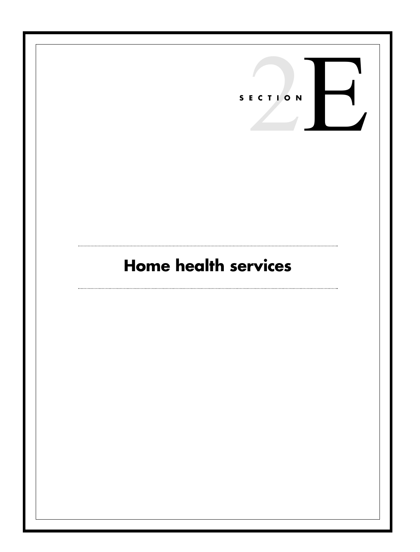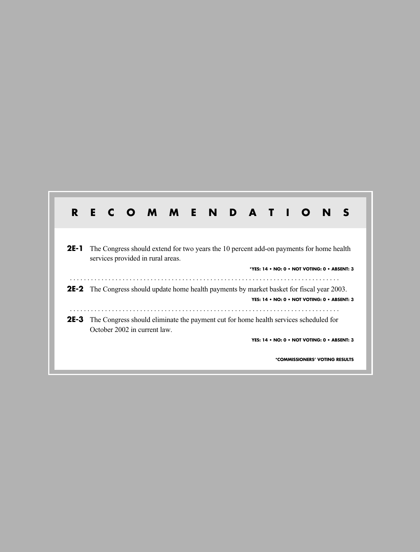| R.                                                                                                                                   |                                                                                                                                                   |                                                                                                                      |  |  | E C O M M E N D A T I O |  |  |  |  |  |  |  | N |  |
|--------------------------------------------------------------------------------------------------------------------------------------|---------------------------------------------------------------------------------------------------------------------------------------------------|----------------------------------------------------------------------------------------------------------------------|--|--|-------------------------|--|--|--|--|--|--|--|---|--|
| 2E-1<br>The Congress should extend for two years the 10 percent add-on payments for home health<br>services provided in rural areas. |                                                                                                                                                   |                                                                                                                      |  |  |                         |  |  |  |  |  |  |  |   |  |
| *YES: 14 . NO: 0 . NOT VOTING: 0 . ABSENT: 3                                                                                         |                                                                                                                                                   |                                                                                                                      |  |  |                         |  |  |  |  |  |  |  |   |  |
|                                                                                                                                      | <b>2E-2</b> The Congress should update home health payments by market basket for fiscal year 2003.<br>YES: 14 . NO: 0 . NOT VOTING: 0 . ABSENT: 3 |                                                                                                                      |  |  |                         |  |  |  |  |  |  |  |   |  |
| $2E-3$                                                                                                                               |                                                                                                                                                   | The Congress should eliminate the payment cut for home health services scheduled for<br>October 2002 in current law. |  |  |                         |  |  |  |  |  |  |  |   |  |
| YES: 14 • NO: 0 • NOT VOTING: 0 • ABSENT: 3                                                                                          |                                                                                                                                                   |                                                                                                                      |  |  |                         |  |  |  |  |  |  |  |   |  |
| *COMMISSIONERS' VOTING RESULTS                                                                                                       |                                                                                                                                                   |                                                                                                                      |  |  |                         |  |  |  |  |  |  |  |   |  |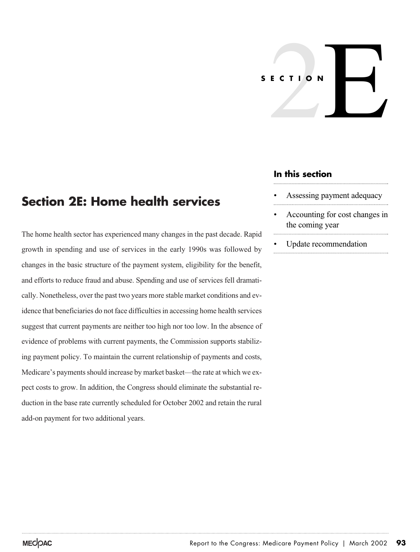# ECTION **SECTION**

## **In this section**

- Assessing payment adequacy
- Accounting for cost changes in the coming year
- Update recommendation

# **Section 2E: Home health services**

The home health sector has experienced many changes in the past decade. Rapid growth in spending and use of services in the early 1990s was followed by changes in the basic structure of the payment system, eligibility for the benefit, and efforts to reduce fraud and abuse. Spending and use of services fell dramatically. Nonetheless, over the past two years more stable market conditions and evidence that beneficiaries do not face difficulties in accessing home health services suggest that current payments are neither too high nor too low. In the absence of evidence of problems with current payments, the Commission supports stabilizing payment policy. To maintain the current relationship of payments and costs, Medicare's payments should increase by market basket—the rate at which we expect costs to grow. In addition, the Congress should eliminate the substantial reduction in the base rate currently scheduled for October 2002 and retain the rural add-on payment for two additional years.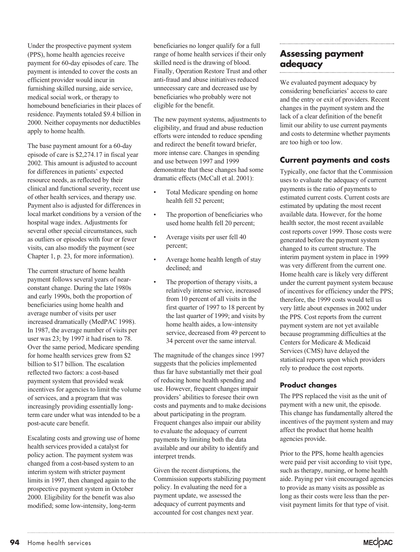Under the prospective payment system (PPS), home health agencies receive payment for 60-day episodes of care. The payment is intended to cover the costs an efficient provider would incur in furnishing skilled nursing, aide service, medical social work, or therapy to homebound beneficiaries in their places of residence. Payments totaled \$9.4 billion in 2000. Neither copayments nor deductibles apply to home health.

The base payment amount for a 60-day episode of care is \$2,274.17 in fiscal year 2002. This amount is adjusted to account for differences in patients' expected resource needs, as reflected by their clinical and functional severity, recent use of other health services, and therapy use. Payment also is adjusted for differences in local market conditions by a version of the hospital wage index. Adjustments for several other special circumstances, such as outliers or episodes with four or fewer visits, can also modify the payment (see Chapter 1, p. 23, for more information).

The current structure of home health payment follows several years of nearconstant change. During the late 1980s and early 1990s, both the proportion of beneficiaries using home health and average number of visits per user increased dramatically (MedPAC 1998). In 1987, the average number of visits per user was 23; by 1997 it had risen to 78. Over the same period, Medicare spending for home health services grew from \$2 billion to \$17 billion. The escalation reflected two factors: a cost-based payment system that provided weak incentives for agencies to limit the volume of services, and a program that was increasingly providing essentially longterm care under what was intended to be a post-acute care benefit.

Escalating costs and growing use of home health services provided a catalyst for policy action. The payment system was changed from a cost-based system to an interim system with stricter payment limits in 1997, then changed again to the prospective payment system in October 2000. Eligibility for the benefit was also modified; some low-intensity, long-term

beneficiaries no longer qualify for a full range of home health services if their only skilled need is the drawing of blood. Finally, Operation Restore Trust and other anti-fraud and abuse initiatives reduced unnecessary care and decreased use by beneficiaries who probably were not eligible for the benefit.

The new payment systems, adjustments to eligibility, and fraud and abuse reduction efforts were intended to reduce spending and redirect the benefit toward briefer, more intense care. Changes in spending and use between 1997 and 1999 demonstrate that these changes had some dramatic effects (McCall et al. 2001):

- Total Medicare spending on home health fell 52 percent;
- The proportion of beneficiaries who used home health fell 20 percent;
- Average visits per user fell 40 percent;
- Average home health length of stay declined; and
- The proportion of therapy visits, a relatively intense service, increased from 10 percent of all visits in the first quarter of 1997 to 18 percent by the last quarter of 1999; and visits by home health aides, a low-intensity service, decreased from 49 percent to 34 percent over the same interval.

The magnitude of the changes since 1997 suggests that the policies implemented thus far have substantially met their goal of reducing home health spending and use. However, frequent changes impair providers' abilities to foresee their own costs and payments and to make decisions about participating in the program. Frequent changes also impair our ability to evaluate the adequacy of current payments by limiting both the data available and our ability to identify and interpret trends.

Given the recent disruptions, the Commission supports stabilizing payment policy. In evaluating the need for a payment update, we assessed the adequacy of current payments and accounted for cost changes next year.

## **Assessing payment adequacy**

We evaluated payment adequacy by considering beneficiaries' access to care and the entry or exit of providers. Recent changes in the payment system and the lack of a clear definition of the benefit limit our ability to use current payments and costs to determine whether payments are too high or too low.

### **Current payments and costs**

Typically, one factor that the Commission uses to evaluate the adequacy of current payments is the ratio of payments to estimated current costs. Current costs are estimated by updating the most recent available data. However, for the home health sector, the most recent available cost reports cover 1999. Those costs were generated before the payment system changed to its current structure. The interim payment system in place in 1999 was very different from the current one. Home health care is likely very different under the current payment system because of incentives for efficiency under the PPS; therefore, the 1999 costs would tell us very little about expenses in 2002 under the PPS. Cost reports from the current payment system are not yet available because programming difficulties at the Centers for Medicare & Medicaid Services (CMS) have delayed the statistical reports upon which providers rely to produce the cost reports.

#### **Product changes**

The PPS replaced the visit as the unit of payment with a new unit, the episode. This change has fundamentally altered the incentives of the payment system and may affect the product that home health agencies provide.

Prior to the PPS, home health agencies were paid per visit according to visit type, such as therapy, nursing, or home health aide. Paying per visit encouraged agencies to provide as many visits as possible as long as their costs were less than the pervisit payment limits for that type of visit.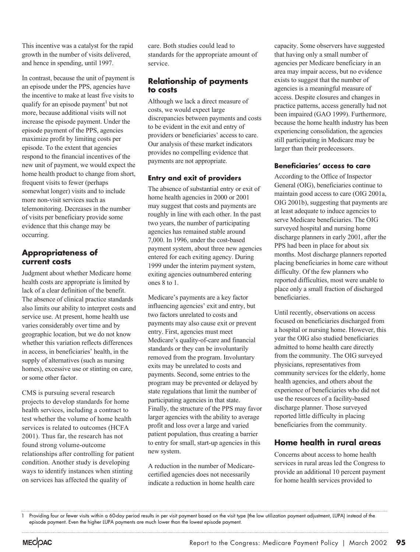This incentive was a catalyst for the rapid growth in the number of visits delivered, and hence in spending, until 1997.

In contrast, because the unit of payment is an episode under the PPS, agencies have the incentive to make at least five visits to qualify for an episode payment<sup>1</sup> but not more, because additional visits will not increase the episode payment. Under the episode payment of the PPS, agencies maximize profit by limiting costs per episode. To the extent that agencies respond to the financial incentives of the new unit of payment, we would expect the home health product to change from short, frequent visits to fewer (perhaps somewhat longer) visits and to include more non-visit services such as telemonitoring. Decreases in the number of visits per beneficiary provide some evidence that this change may be occurring.

#### **Appropriateness of current costs**

Judgment about whether Medicare home health costs are appropriate is limited by lack of a clear definition of the benefit. The absence of clinical practice standards also limits our ability to interpret costs and service use. At present, home health use varies considerably over time and by geographic location, but we do not know whether this variation reflects differences in access, in beneficiaries' health, in the supply of alternatives (such as nursing homes), excessive use or stinting on care, or some other factor.

CMS is pursuing several research projects to develop standards for home health services, including a contract to test whether the volume of home health services is related to outcomes (HCFA 2001). Thus far, the research has not found strong volume-outcome relationships after controlling for patient condition. Another study is developing ways to identify instances when stinting on services has affected the quality of

care. Both studies could lead to standards for the appropriate amount of service.

#### **Relationship of payments to costs**

Although we lack a direct measure of costs, we would expect large discrepancies between payments and costs to be evident in the exit and entry of providers or beneficiaries' access to care. Our analysis of these market indicators provides no compelling evidence that payments are not appropriate.

#### **Entry and exit of providers**

The absence of substantial entry or exit of home health agencies in 2000 or 2001 may suggest that costs and payments are roughly in line with each other. In the past two years, the number of participating agencies has remained stable around 7,000. In 1996, under the cost-based payment system, about three new agencies entered for each exiting agency. During 1999 under the interim payment system, exiting agencies outnumbered entering ones 8 to 1.

Medicare's payments are a key factor influencing agencies' exit and entry, but two factors unrelated to costs and payments may also cause exit or prevent entry. First, agencies must meet Medicare's quality-of-care and financial standards or they can be involuntarily removed from the program. Involuntary exits may be unrelated to costs and payments. Second, some entries to the program may be prevented or delayed by state regulations that limit the number of participating agencies in that state. Finally, the structure of the PPS may favor larger agencies with the ability to average profit and loss over a large and varied patient population, thus creating a barrier to entry for small, start-up agencies in this new system.

A reduction in the number of Medicarecertified agencies does not necessarily indicate a reduction in home health care capacity. Some observers have suggested that having only a small number of agencies per Medicare beneficiary in an area may impair access, but no evidence exists to suggest that the number of agencies is a meaningful measure of access. Despite closures and changes in practice patterns, access generally had not been impaired (GAO 1999). Furthermore, because the home health industry has been experiencing consolidation, the agencies still participating in Medicare may be larger than their predecessors.

#### **Beneficiaries' access to care**

According to the Office of Inspector General (OIG), beneficiaries continue to maintain good access to care (OIG 2001a, OIG 2001b), suggesting that payments are at least adequate to induce agencies to serve Medicare beneficiaries. The OIG surveyed hospital and nursing home discharge planners in early 2001, after the PPS had been in place for about six months. Most discharge planners reported placing beneficiaries in home care without difficulty. Of the few planners who reported difficulties, most were unable to place only a small fraction of discharged beneficiaries.

Until recently, observations on access focused on beneficiaries discharged from a hospital or nursing home. However, this year the OIG also studied beneficiaries admitted to home health care directly from the community. The OIG surveyed physicians, representatives from community services for the elderly, home health agencies, and others about the experience of beneficiaries who did not use the resources of a facility-based discharge planner. Those surveyed reported little difficulty in placing beneficiaries from the community.

#### **Home health in rural areas**

Concerns about access to home health services in rural areas led the Congress to provide an additional 10 percent payment for home health services provided to

<sup>1</sup> Providing four or fewer visits within a 60-day period results in per visit payment based on the visit type (the low utilization payment adjustment, LUPA) instead of the episode payment. Even the higher LUPA payments are much lower than the lowest episode payment.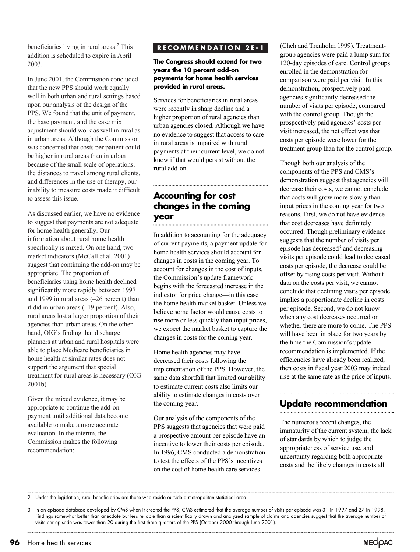beneficiaries living in rural areas.<sup>2</sup> This addition is scheduled to expire in April 2003.

In June 2001, the Commission concluded that the new PPS should work equally well in both urban and rural settings based upon our analysis of the design of the PPS. We found that the unit of payment, the base payment, and the case mix adjustment should work as well in rural as in urban areas. Although the Commission was concerned that costs per patient could be higher in rural areas than in urban because of the small scale of operations, the distances to travel among rural clients, and differences in the use of therapy, our inability to measure costs made it difficult to assess this issue.

As discussed earlier, we have no evidence to suggest that payments are not adequate for home health generally. Our information about rural home health specifically is mixed. On one hand, two market indicators (McCall et al. 2001) suggest that continuing the add-on may be appropriate. The proportion of beneficiaries using home health declined significantly more rapidly between 1997 and 1999 in rural areas (–26 percent) than it did in urban areas (–19 percent). Also, rural areas lost a larger proportion of their agencies than urban areas. On the other hand, OIG's finding that discharge planners at urban and rural hospitals were able to place Medicare beneficiaries in home health at similar rates does not support the argument that special treatment for rural areas is necessary (OIG 2001b).

Given the mixed evidence, it may be appropriate to continue the add-on payment until additional data become available to make a more accurate evaluation. In the interim, the Commission makes the following recommendation:

#### **RECOMMENDATION 2E-1**

**The Congress should extend for two years the 10 percent add-on payments for home health services provided in rural areas.**

Services for beneficiaries in rural areas were recently in sharp decline and a higher proportion of rural agencies than urban agencies closed. Although we have no evidence to suggest that access to care in rural areas is impaired with rural payments at their current level, we do not know if that would persist without the rural add-on.

# **Accounting for cost changes in the coming year**

In addition to accounting for the adequacy of current payments, a payment update for home health services should account for changes in costs in the coming year. To account for changes in the cost of inputs, the Commission's update framework begins with the forecasted increase in the indicator for price change—in this case the home health market basket. Unless we believe some factor would cause costs to rise more or less quickly than input prices, we expect the market basket to capture the changes in costs for the coming year.

Home health agencies may have decreased their costs following the implementation of the PPS. However, the same data shortfall that limited our ability to estimate current costs also limits our ability to estimate changes in costs over the coming year.

Our analysis of the components of the PPS suggests that agencies that were paid a prospective amount per episode have an incentive to lower their costs per episode. In 1996, CMS conducted a demonstration to test the effects of the PPS's incentives on the cost of home health care services

(Cheh and Trenholm 1999). Treatmentgroup agencies were paid a lump sum for 120-day episodes of care. Control groups enrolled in the demonstration for comparison were paid per visit. In this demonstration, prospectively paid agencies significantly decreased the number of visits per episode, compared with the control group. Though the prospectively paid agencies' costs per visit increased, the net effect was that costs per episode were lower for the treatment group than for the control group.

Though both our analysis of the components of the PPS and CMS's demonstration suggest that agencies will decrease their costs, we cannot conclude that costs will grow more slowly than input prices in the coming year for two reasons. First, we do not have evidence that cost decreases have definitely occurred. Though preliminary evidence suggests that the number of visits per episode has decreased $3$  and decreasing visits per episode could lead to decreased costs per episode, the decrease could be offset by rising costs per visit. Without data on the costs per visit, we cannot conclude that declining visits per episode implies a proportionate decline in costs per episode. Second, we do not know when any cost decreases occurred or whether there are more to come. The PPS will have been in place for two years by the time the Commission's update recommendation is implemented. If the efficiencies have already been realized, then costs in fiscal year 2003 may indeed rise at the same rate as the price of inputs.

# **Update recommendation**

The numerous recent changes, the immaturity of the current system, the lack of standards by which to judge the appropriateness of service use, and uncertainty regarding both appropriate costs and the likely changes in costs all

2 Under the legislation, rural beneficiaries are those who reside outside a metropolitan statistical area.

<sup>3</sup> In an episode database developed by CMS when it created the PPS, CMS estimated that the average number of visits per episode was 31 in 1997 and 27 in 1998. Findings somewhat better than anecdote but less reliable than a scientifically drawn and analyzed sample of claims and agencies suggest that the average number of visits per episode was fewer than 20 during the first three quarters of the PPS (October 2000 through June 2001).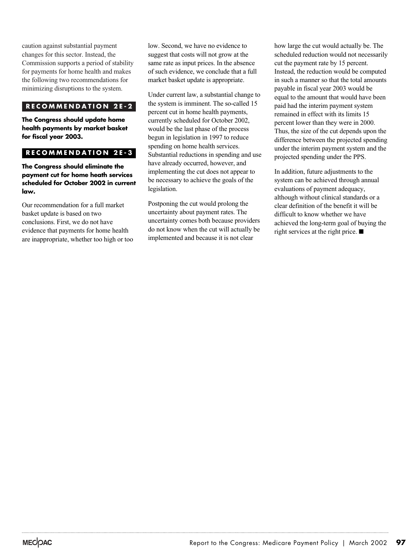caution against substantial payment changes for this sector. Instead, the Commission supports a period of stability for payments for home health and makes the following two recommendations for minimizing disruptions to the system.

#### **RECOMMENDATION 2E-2**

**The Congress should update home health payments by market basket for fiscal year 2003.**

#### **RECOMMENDATION 2E-3**

**The Congress should eliminate the payment cut for home heath services scheduled for October 2002 in current law.**

Our recommendation for a full market basket update is based on two conclusions. First, we do not have evidence that payments for home health are inappropriate, whether too high or too low. Second, we have no evidence to suggest that costs will not grow at the same rate as input prices. In the absence of such evidence, we conclude that a full market basket update is appropriate.

Under current law, a substantial change to the system is imminent. The so-called 15 percent cut in home health payments, currently scheduled for October 2002, would be the last phase of the process begun in legislation in 1997 to reduce spending on home health services. Substantial reductions in spending and use have already occurred, however, and implementing the cut does not appear to be necessary to achieve the goals of the legislation.

Postponing the cut would prolong the uncertainty about payment rates. The uncertainty comes both because providers do not know when the cut will actually be implemented and because it is not clear

how large the cut would actually be. The scheduled reduction would not necessarily cut the payment rate by 15 percent. Instead, the reduction would be computed in such a manner so that the total amounts payable in fiscal year 2003 would be equal to the amount that would have been paid had the interim payment system remained in effect with its limits 15 percent lower than they were in 2000. Thus, the size of the cut depends upon the difference between the projected spending under the interim payment system and the projected spending under the PPS.

In addition, future adjustments to the system can be achieved through annual evaluations of payment adequacy, although without clinical standards or a clear definition of the benefit it will be difficult to know whether we have achieved the long-term goal of buying the right services at the right price.  $\blacksquare$